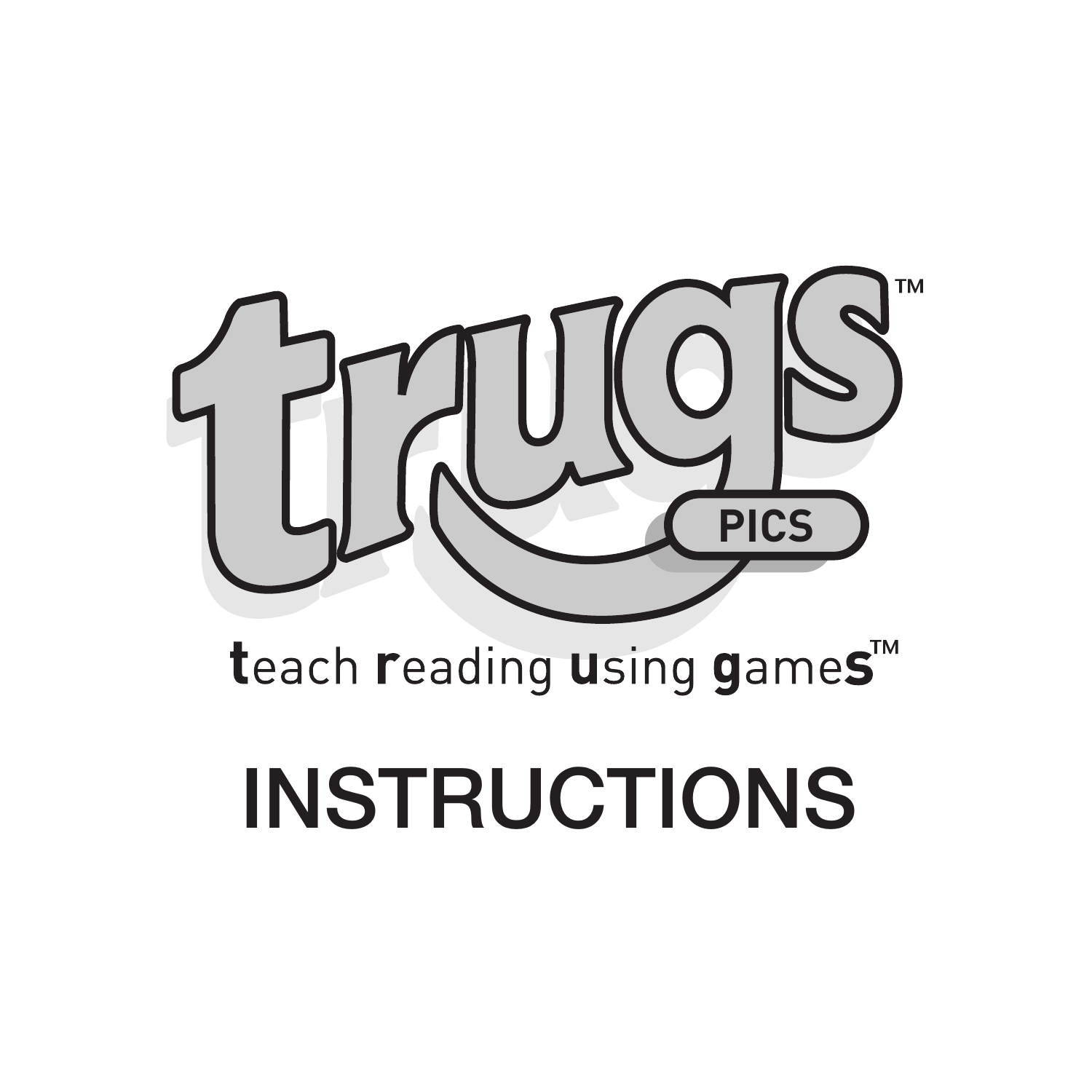

# teach reading using games<sup>™</sup>

# INSTRUCTIONS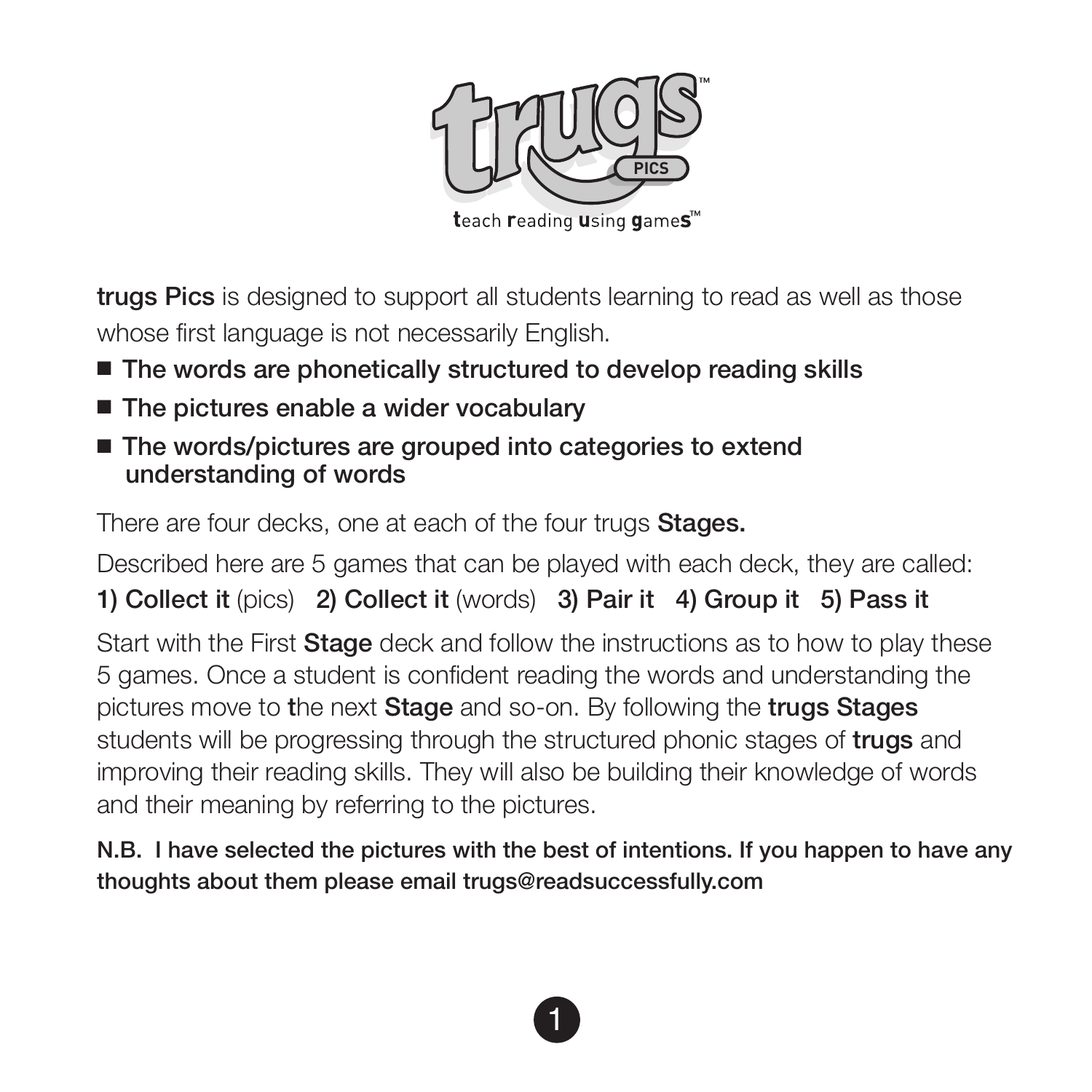

trugs Pics is designed to support all students learning to read as well as those whose first language is not necessarily English.

- $\blacksquare$  The words are phonetically structured to develop reading skills
- $\blacksquare$  The pictures enable a wider vocabulary
- $\blacksquare$  The words/pictures are grouped into categories to extend understanding of words

There are four decks, one at each of the four trugs **Stages.** 

Described here are 5 games that can be played with each deck, they are called:

1) Collect it (pics) 2) Collect it (words) 3) Pair it 4) Group it 5) Pass it

Start with the First Stage deck and follow the instructions as to how to play these 5 games. Once a student is confident reading the words and understanding the pictures move to the next Stage and so-on. By following the trugs Stages students will be progressing through the structured phonic stages of **trugs** and improving their reading skills. They will also be building their knowledge of words and their meaning by referring to the pictures.

N.B. I have selected the pictures with the best of intentions. If you happen to have any thoughts about them please email trugs@readsuccessfully.com

1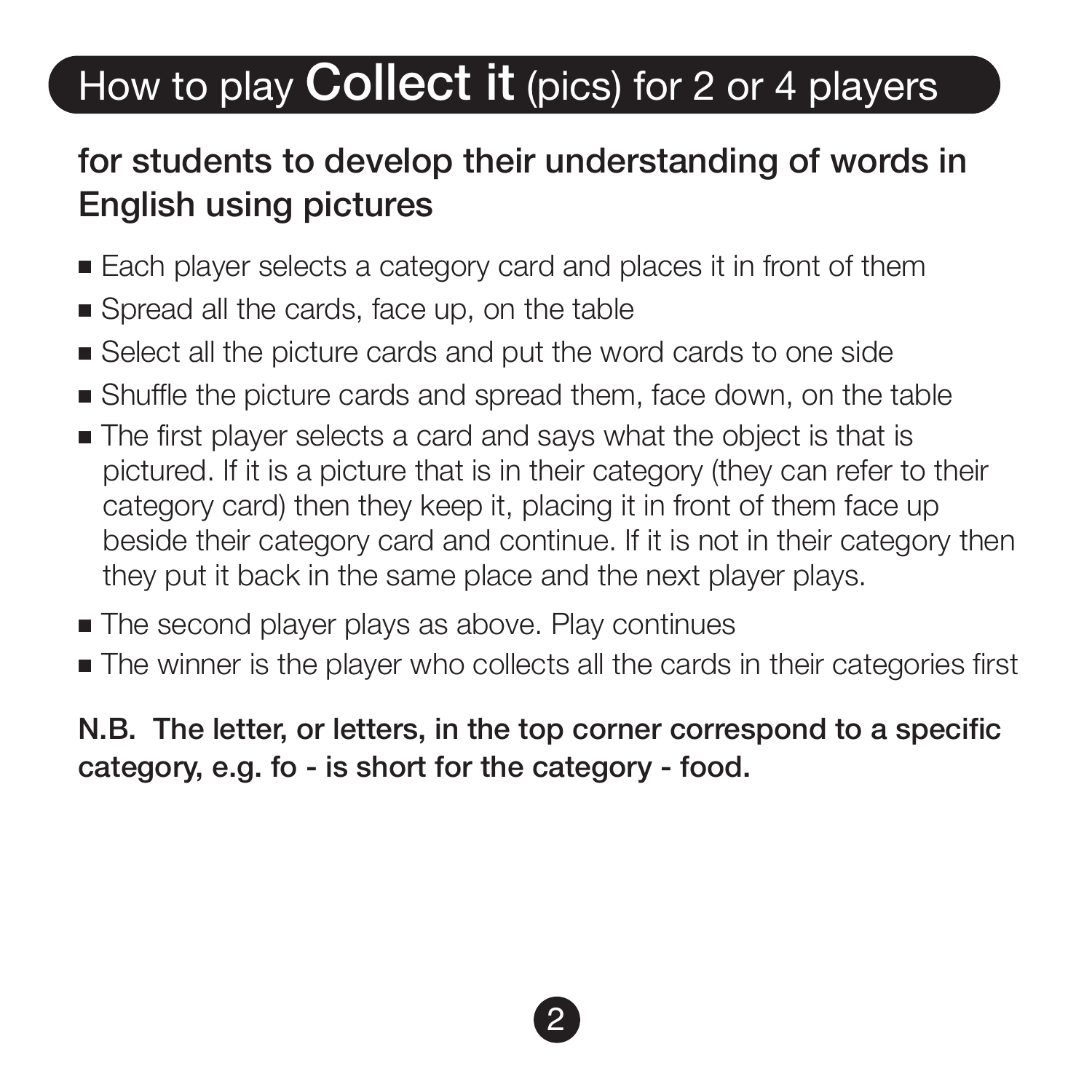# How to play **Collect it** (pics) for 2 or 4 players

### for students to develop their understanding of words in English using pictures

- Each player selects a category card and places it in front of them
- Spread all the cards, face up, on the table
- $\blacksquare$  Select all the picture cards and put the word cards to one side
- <sup>n</sup> Shuffle the picture cards and spread them, face down, on the table
- $\blacksquare$  The first player selects a card and says what the object is that is pictured. If it is a picture that is in their category (they can refer to their category card) then they keep it, placing it in front of them face up beside their category card and continue. If it is not in their category then they put it back in the same place and the next player plays.
- The second player plays as above. Play continues
- <sup>n</sup> The winner is the player who collects all the cards in their categories first

N.B. The letter, or letters, in the top corner correspond to a specific category, e.g. fo - is short for the category - food.

2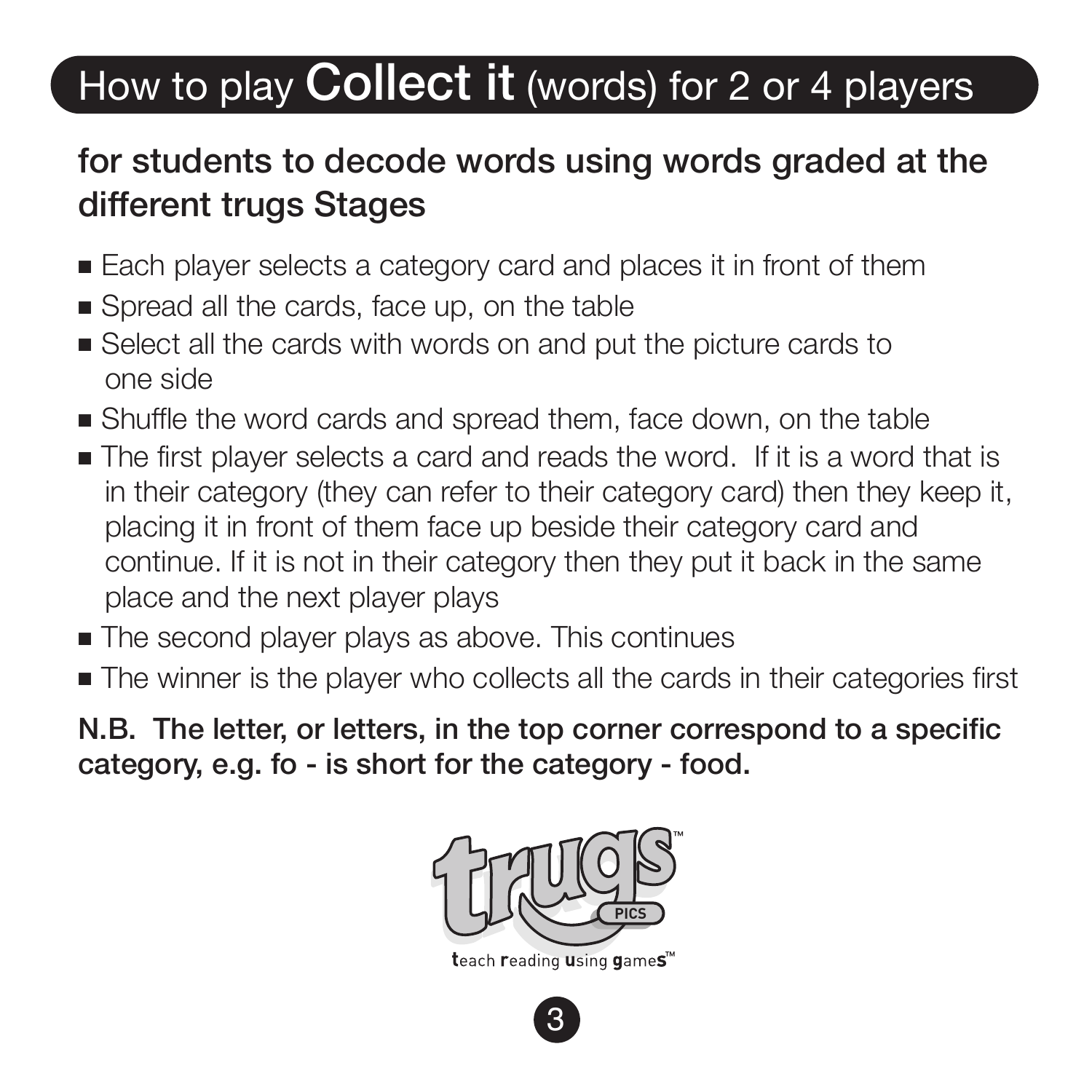# How to play Collect it (words) for 2 or 4 players

#### for students to decode words using words graded at the different trugs Stages

- Each player selects a category card and places it in front of them
- Spread all the cards, face up, on the table
- <sup>n</sup> Select all the cards with words on and put the picture cards to one side
- <sup>n</sup> Shuffle the word cards and spread them, face down, on the table
- $\blacksquare$  The first player selects a card and reads the word. If it is a word that is in their category (they can refer to their category card) then they keep it, placing it in front of them face up beside their category card and continue. If it is not in their category then they put it back in the same place and the next player plays
- The second player plays as above. This continues
- <sup>n</sup> The winner is the player who collects all the cards in their categories first

N.B. The letter, or letters, in the top corner correspond to a specific category, e.g. fo - is short for the category - food.



3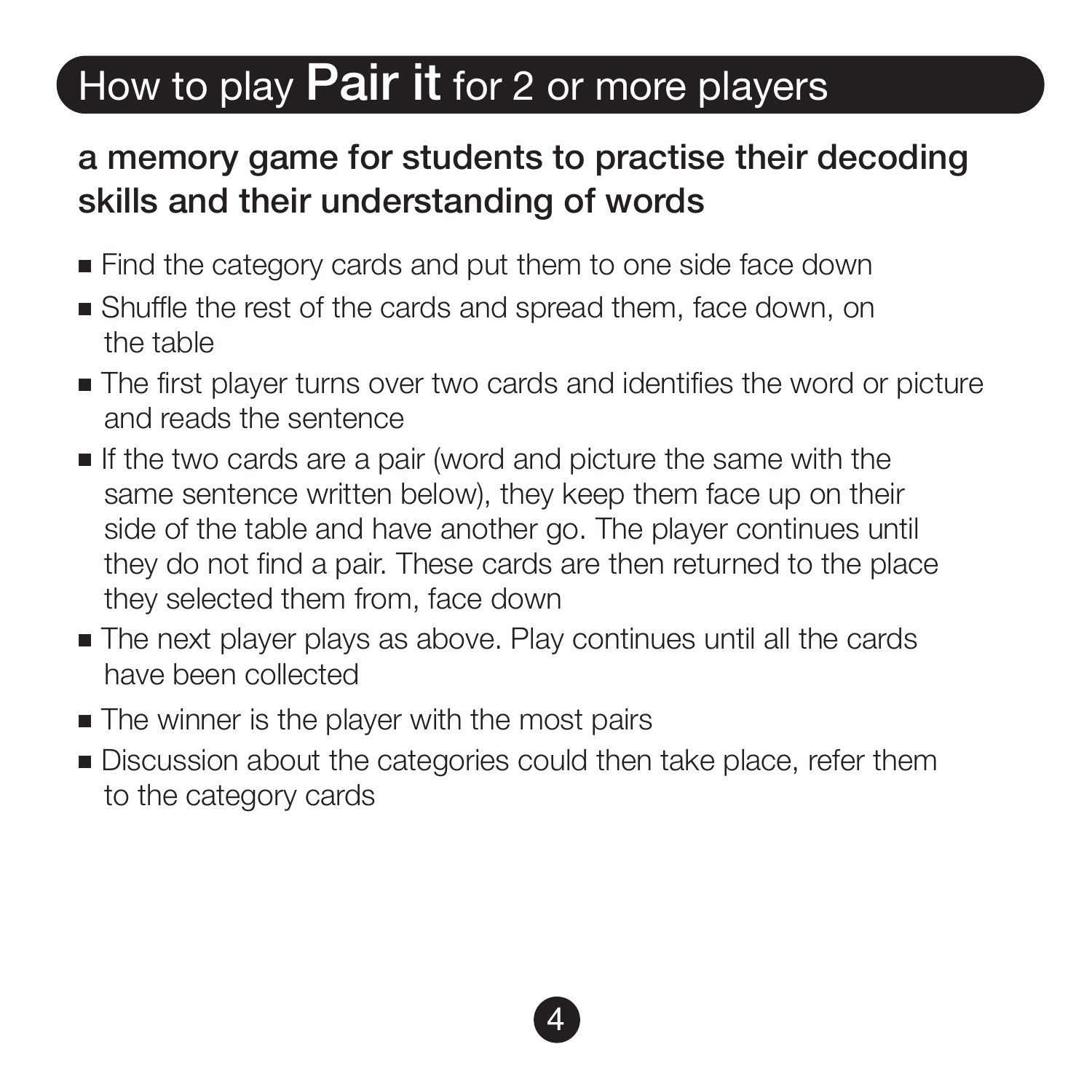### How to play **Pair it** for 2 or more players

### a memory game for students to practise their decoding skills and their understanding of words

- Find the category cards and put them to one side face down
- <sup>n</sup> Shuffle the rest of the cards and spread them, face down, on the table
- <sup>n</sup> The first player turns over two cards and identifies the word or picture and reads the sentence
- <sup>n</sup> If the two cards are a pair (word and picture the same with the same sentence written below), they keep them face up on their side of the table and have another go. The player continues until they do not find a pair. These cards are then returned to the place they selected them from, face down
- The next player plays as above. Play continues until all the cards have been collected
- $\blacksquare$  The winner is the player with the most pairs
- <sup>n</sup> Discussion about the categories could then take place, refer them to the category cards

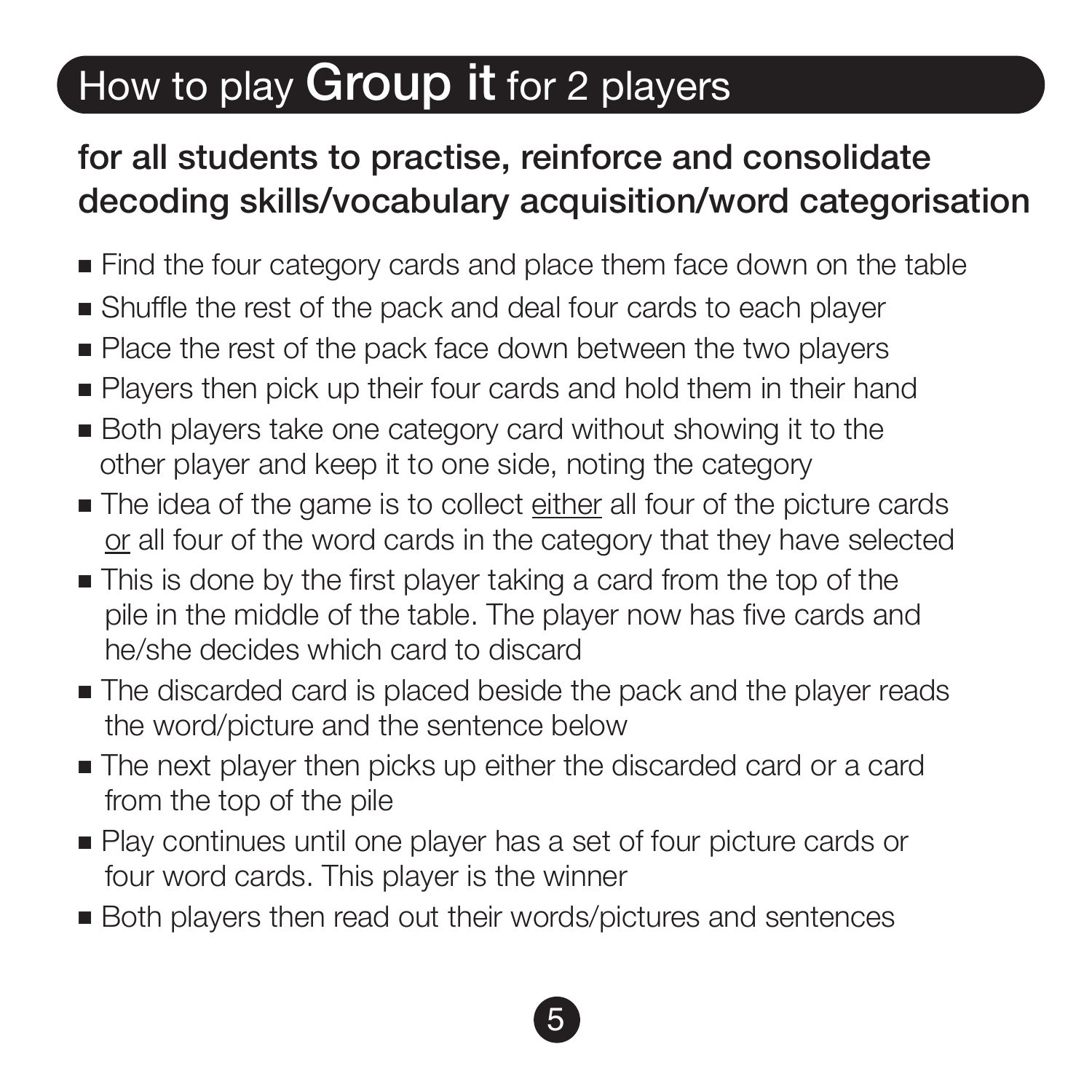# How to play **Group it** for 2 players

### for all students to practise, reinforce and consolidate decoding skills/vocabulary acquisition/word categorisation

- Find the four category cards and place them face down on the table
- <sup>n</sup> Shuffle the rest of the pack and deal four cards to each player
- Place the rest of the pack face down between the two players
- <sup>n</sup> Players then pick up their four cards and hold them in their hand
- <sup>n</sup> Both players take one category card without showing it to the other player and keep it to one side, noting the category
- <sup>n</sup> The idea of the game is to collect either all four of the picture cards or all four of the word cards in the category that they have selected
- $\blacksquare$  This is done by the first player taking a card from the top of the pile in the middle of the table. The player now has five cards and he/she decides which card to discard
- $\blacksquare$  The discarded card is placed beside the pack and the player reads the word/picture and the sentence below
- <sup>n</sup> The next player then picks up either the discarded card or a card from the top of the pile
- <sup>n</sup> Play continues until one player has a set of four picture cards or four word cards. This player is the winner
- Both players then read out their words/pictures and sentences

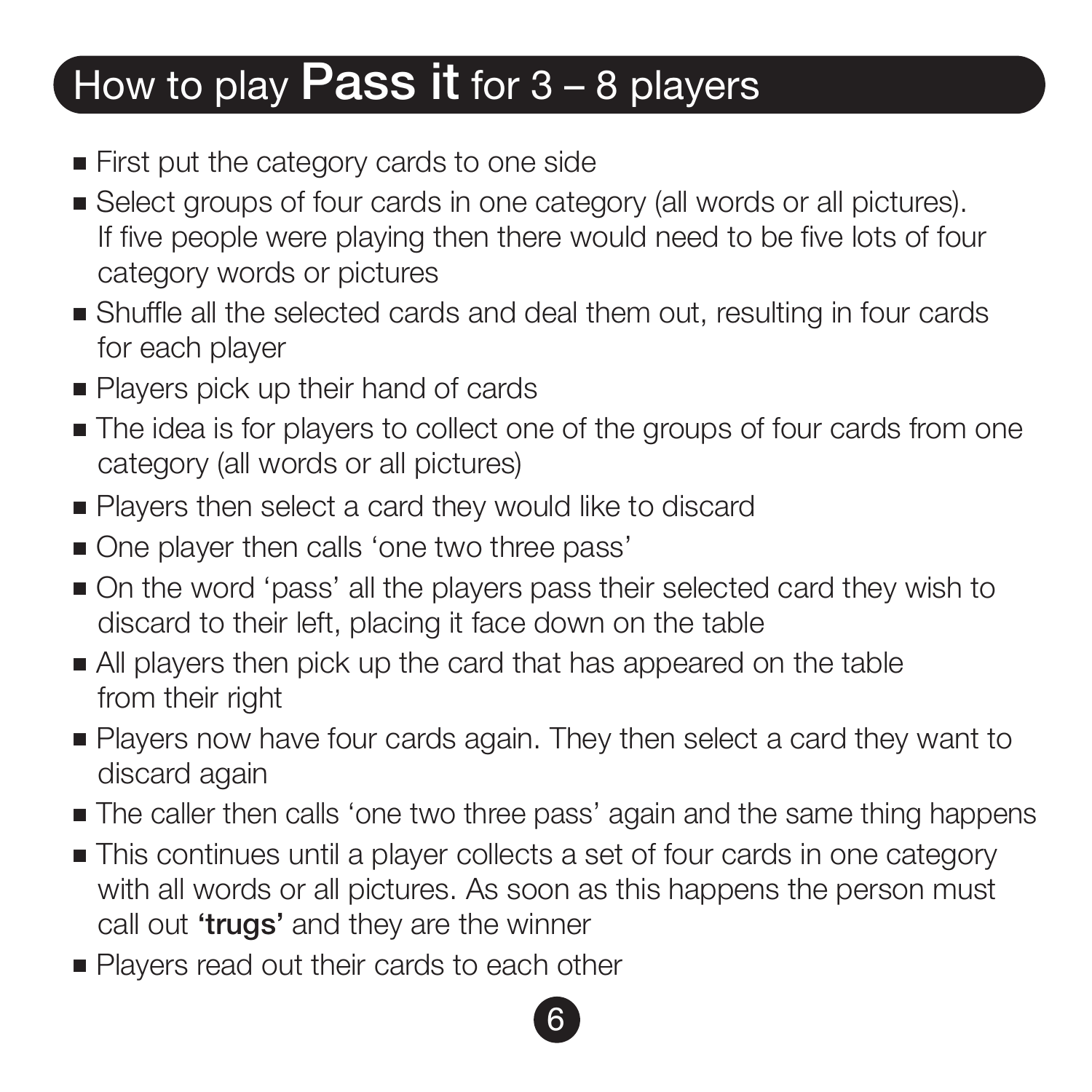# How to play **Pass it** for  $3 - 8$  players

- First put the category cards to one side
- <sup>n</sup> Select groups of four cards in one category (all words or all pictures). If five people were playing then there would need to be five lots of four category words or pictures
- <sup>n</sup> Shuffle all the selected cards and deal them out, resulting in four cards for each player
- Players pick up their hand of cards
- $\blacksquare$  The idea is for players to collect one of the groups of four cards from one category (all words or all pictures)
- Players then select a card they would like to discard
- One player then calls 'one two three pass'
- <sup>n</sup> On the word 'pass' all the players pass their selected card they wish to discard to their left, placing it face down on the table
- <sup>n</sup> All players then pick up the card that has appeared on the table from their right
- <sup>n</sup> Players now have four cards again. They then select a card they want to discard again
- <sup>n</sup> The caller then calls 'one two three pass' again and the same thing happens
- <sup>n</sup> This continues until a player collects a set of four cards in one category with all words or all pictures. As soon as this happens the person must call out 'trugs' and they are the winner

6

■ Players read out their cards to each other